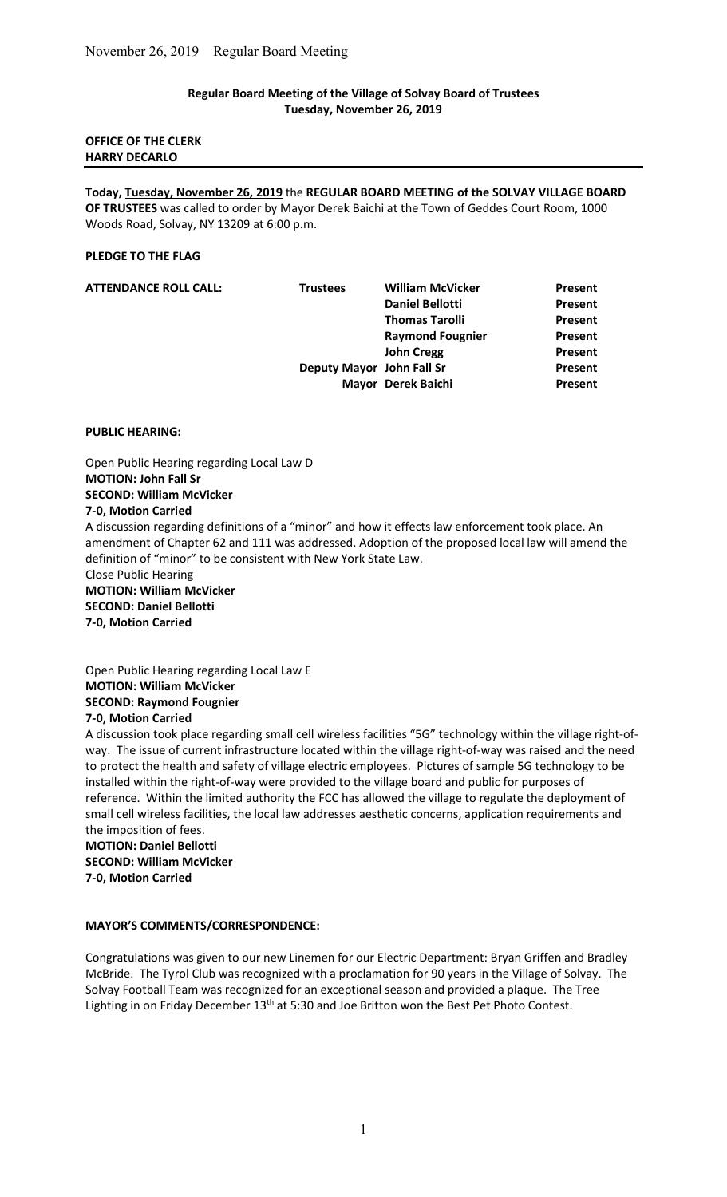## Regular Board Meeting of the Village of Solvay Board of Trustees Tuesday, November 26, 2019

## OFFICE OF THE CLERK HARRY DECARLO

Today, Tuesday, November 26, 2019 the REGULAR BOARD MEETING of the SOLVAY VILLAGE BOARD OF TRUSTEES was called to order by Mayor Derek Baichi at the Town of Geddes Court Room, 1000 Woods Road, Solvay, NY 13209 at 6:00 p.m.

### PLEDGE TO THE FLAG

| <b>ATTENDANCE ROLL CALL:</b> | <b>Trustees</b>           | <b>William McVicker</b> | Present |
|------------------------------|---------------------------|-------------------------|---------|
|                              |                           | <b>Daniel Bellotti</b>  | Present |
|                              |                           | <b>Thomas Tarolli</b>   | Present |
|                              |                           | <b>Raymond Fougnier</b> | Present |
|                              |                           | <b>John Cregg</b>       | Present |
|                              | Deputy Mayor John Fall Sr |                         | Present |
|                              |                           | Mayor Derek Baichi      | Present |

### PUBLIC HEARING:

Open Public Hearing regarding Local Law D MOTION: John Fall Sr SECOND: William McVicker 7-0, Motion Carried A discussion regarding definitions of a "minor" and how it effects law enforcement took place. An amendment of Chapter 62 and 111 was addressed. Adoption of the proposed local law will amend the definition of "minor" to be consistent with New York State Law. Close Public Hearing MOTION: William McVicker SECOND: Daniel Bellotti

7-0, Motion Carried

Open Public Hearing regarding Local Law E MOTION: William McVicker SECOND: Raymond Fougnier 7-0, Motion Carried

A discussion took place regarding small cell wireless facilities "5G" technology within the village right-ofway. The issue of current infrastructure located within the village right-of-way was raised and the need to protect the health and safety of village electric employees. Pictures of sample 5G technology to be installed within the right-of-way were provided to the village board and public for purposes of reference. Within the limited authority the FCC has allowed the village to regulate the deployment of small cell wireless facilities, the local law addresses aesthetic concerns, application requirements and the imposition of fees.

MOTION: Daniel Bellotti SECOND: William McVicker 7-0, Motion Carried

## MAYOR'S COMMENTS/CORRESPONDENCE:

Congratulations was given to our new Linemen for our Electric Department: Bryan Griffen and Bradley McBride. The Tyrol Club was recognized with a proclamation for 90 years in the Village of Solvay. The Solvay Football Team was recognized for an exceptional season and provided a plaque. The Tree Lighting in on Friday December 13<sup>th</sup> at 5:30 and Joe Britton won the Best Pet Photo Contest.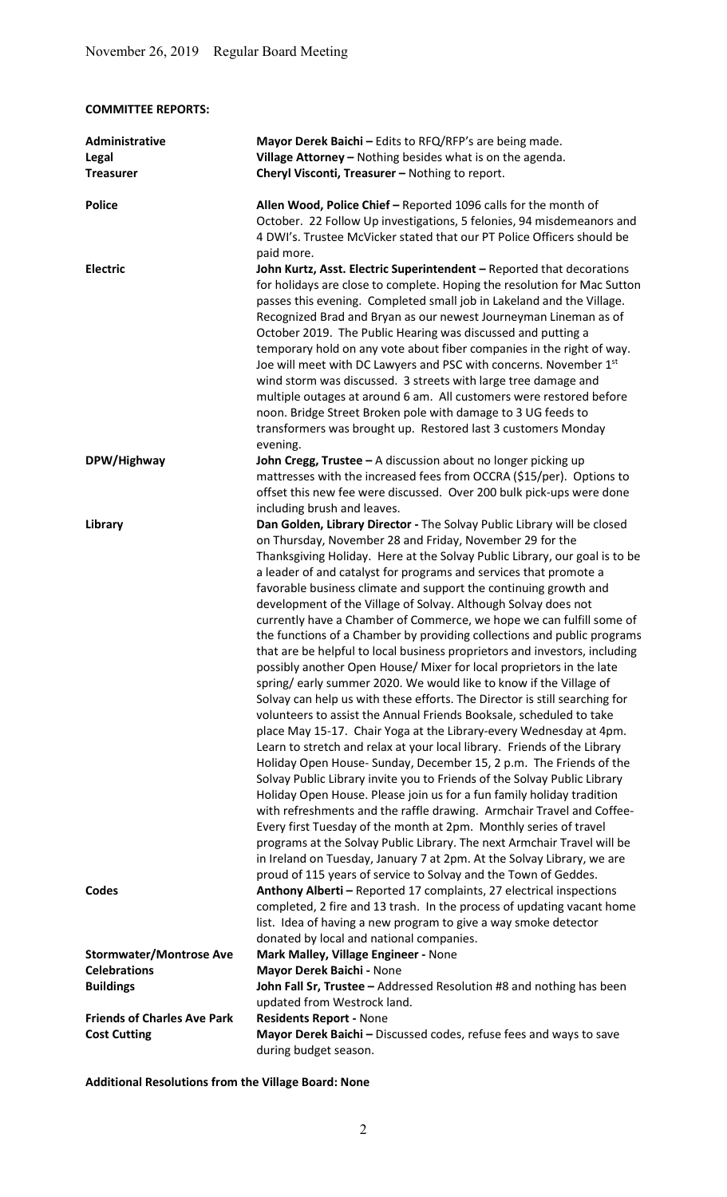COMMITTEE REPORTS:

| Administrative<br>Legal<br><b>Treasurer</b>                               | Mayor Derek Baichi - Edits to RFQ/RFP's are being made.<br>Village Attorney - Nothing besides what is on the agenda.<br>Cheryl Visconti, Treasurer - Nothing to report.                                                                                                                                                                                                                                                                                                                                                                                                                                                                                                                                                                                                                                                                                                                                                                                                                                                                                                                                                                                                                                                                                                                                                                                                                                                                                                                                                                                                                                                                                                                                           |
|---------------------------------------------------------------------------|-------------------------------------------------------------------------------------------------------------------------------------------------------------------------------------------------------------------------------------------------------------------------------------------------------------------------------------------------------------------------------------------------------------------------------------------------------------------------------------------------------------------------------------------------------------------------------------------------------------------------------------------------------------------------------------------------------------------------------------------------------------------------------------------------------------------------------------------------------------------------------------------------------------------------------------------------------------------------------------------------------------------------------------------------------------------------------------------------------------------------------------------------------------------------------------------------------------------------------------------------------------------------------------------------------------------------------------------------------------------------------------------------------------------------------------------------------------------------------------------------------------------------------------------------------------------------------------------------------------------------------------------------------------------------------------------------------------------|
| <b>Police</b>                                                             | Allen Wood, Police Chief - Reported 1096 calls for the month of<br>October. 22 Follow Up investigations, 5 felonies, 94 misdemeanors and<br>4 DWI's. Trustee McVicker stated that our PT Police Officers should be<br>paid more.                                                                                                                                                                                                                                                                                                                                                                                                                                                                                                                                                                                                                                                                                                                                                                                                                                                                                                                                                                                                                                                                                                                                                                                                                                                                                                                                                                                                                                                                                  |
| <b>Electric</b>                                                           | John Kurtz, Asst. Electric Superintendent - Reported that decorations<br>for holidays are close to complete. Hoping the resolution for Mac Sutton<br>passes this evening. Completed small job in Lakeland and the Village.<br>Recognized Brad and Bryan as our newest Journeyman Lineman as of<br>October 2019. The Public Hearing was discussed and putting a<br>temporary hold on any vote about fiber companies in the right of way.<br>Joe will meet with DC Lawyers and PSC with concerns. November 1st<br>wind storm was discussed. 3 streets with large tree damage and<br>multiple outages at around 6 am. All customers were restored before<br>noon. Bridge Street Broken pole with damage to 3 UG feeds to<br>transformers was brought up. Restored last 3 customers Monday<br>evening.                                                                                                                                                                                                                                                                                                                                                                                                                                                                                                                                                                                                                                                                                                                                                                                                                                                                                                                |
| DPW/Highway                                                               | John Cregg, Trustee - A discussion about no longer picking up<br>mattresses with the increased fees from OCCRA (\$15/per). Options to<br>offset this new fee were discussed. Over 200 bulk pick-ups were done<br>including brush and leaves.                                                                                                                                                                                                                                                                                                                                                                                                                                                                                                                                                                                                                                                                                                                                                                                                                                                                                                                                                                                                                                                                                                                                                                                                                                                                                                                                                                                                                                                                      |
| Library                                                                   | Dan Golden, Library Director - The Solvay Public Library will be closed<br>on Thursday, November 28 and Friday, November 29 for the<br>Thanksgiving Holiday. Here at the Solvay Public Library, our goal is to be<br>a leader of and catalyst for programs and services that promote a<br>favorable business climate and support the continuing growth and<br>development of the Village of Solvay. Although Solvay does not<br>currently have a Chamber of Commerce, we hope we can fulfill some of<br>the functions of a Chamber by providing collections and public programs<br>that are be helpful to local business proprietors and investors, including<br>possibly another Open House/ Mixer for local proprietors in the late<br>spring/early summer 2020. We would like to know if the Village of<br>Solvay can help us with these efforts. The Director is still searching for<br>volunteers to assist the Annual Friends Booksale, scheduled to take<br>place May 15-17. Chair Yoga at the Library-every Wednesday at 4pm.<br>Learn to stretch and relax at your local library. Friends of the Library<br>Holiday Open House-Sunday, December 15, 2 p.m. The Friends of the<br>Solvay Public Library invite you to Friends of the Solvay Public Library<br>Holiday Open House. Please join us for a fun family holiday tradition<br>with refreshments and the raffle drawing. Armchair Travel and Coffee-<br>Every first Tuesday of the month at 2pm. Monthly series of travel<br>programs at the Solvay Public Library. The next Armchair Travel will be<br>in Ireland on Tuesday, January 7 at 2pm. At the Solvay Library, we are<br>proud of 115 years of service to Solvay and the Town of Geddes. |
| Codes                                                                     | Anthony Alberti - Reported 17 complaints, 27 electrical inspections<br>completed, 2 fire and 13 trash. In the process of updating vacant home<br>list. Idea of having a new program to give a way smoke detector<br>donated by local and national companies.                                                                                                                                                                                                                                                                                                                                                                                                                                                                                                                                                                                                                                                                                                                                                                                                                                                                                                                                                                                                                                                                                                                                                                                                                                                                                                                                                                                                                                                      |
| <b>Stormwater/Montrose Ave</b><br><b>Celebrations</b><br><b>Buildings</b> | Mark Malley, Village Engineer - None<br>Mayor Derek Baichi - None<br>John Fall Sr, Trustee - Addressed Resolution #8 and nothing has been<br>updated from Westrock land.                                                                                                                                                                                                                                                                                                                                                                                                                                                                                                                                                                                                                                                                                                                                                                                                                                                                                                                                                                                                                                                                                                                                                                                                                                                                                                                                                                                                                                                                                                                                          |
| <b>Friends of Charles Ave Park</b><br><b>Cost Cutting</b>                 | <b>Residents Report - None</b><br>Mayor Derek Baichi - Discussed codes, refuse fees and ways to save<br>during budget season.                                                                                                                                                                                                                                                                                                                                                                                                                                                                                                                                                                                                                                                                                                                                                                                                                                                                                                                                                                                                                                                                                                                                                                                                                                                                                                                                                                                                                                                                                                                                                                                     |

Additional Resolutions from the Village Board: None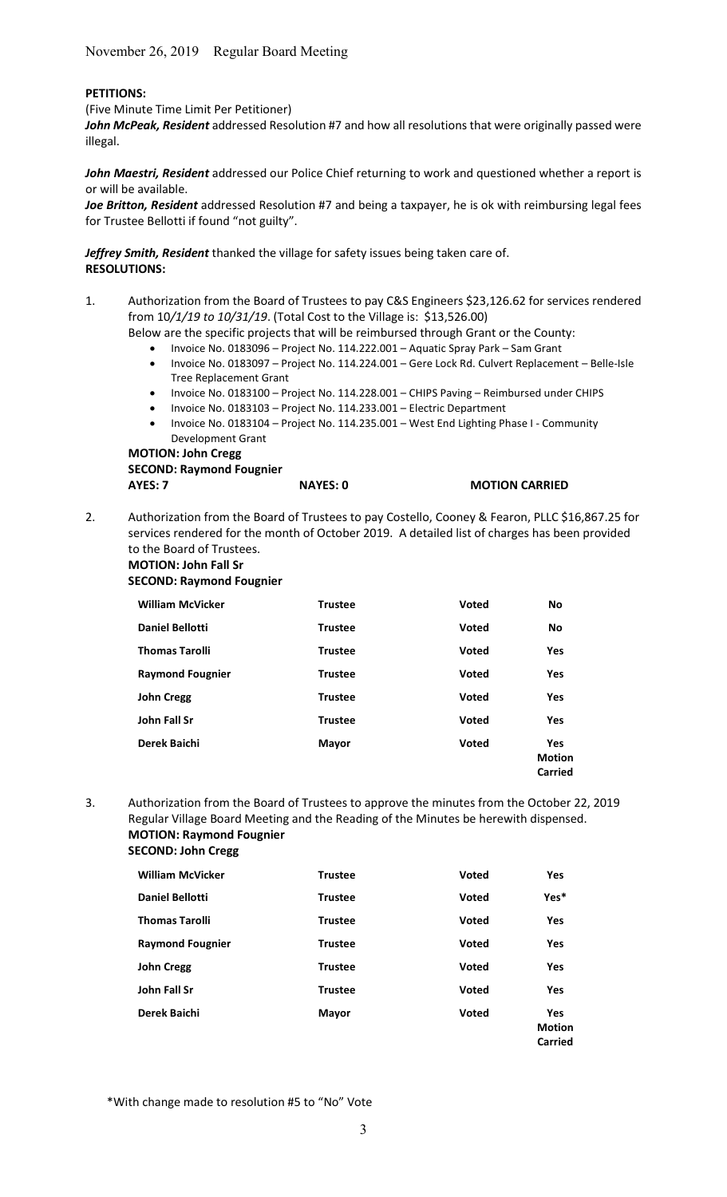## PETITIONS:

(Five Minute Time Limit Per Petitioner)

John McPeak, Resident addressed Resolution #7 and how all resolutions that were originally passed were illegal.

John Maestri, Resident addressed our Police Chief returning to work and questioned whether a report is or will be available.

Joe Britton, Resident addressed Resolution #7 and being a taxpayer, he is ok with reimbursing legal fees for Trustee Bellotti if found "not guilty".

Jeffrey Smith, Resident thanked the village for safety issues being taken care of. RESOLUTIONS:

1. Authorization from the Board of Trustees to pay C&S Engineers \$23,126.62 for services rendered from 10/1/19 to 10/31/19. (Total Cost to the Village is: \$13,526.00)

Below are the specific projects that will be reimbursed through Grant or the County:

- Invoice No. 0183096 Project No. 114.222.001 Aquatic Spray Park Sam Grant
- Invoice No. 0183097 Project No. 114.224.001 Gere Lock Rd. Culvert Replacement Belle-Isle Tree Replacement Grant
- Invoice No. 0183100 Project No. 114.228.001 CHIPS Paving Reimbursed under CHIPS
- Invoice No. 0183103 Project No. 114.233.001 Electric Department
- Invoice No. 0183104 Project No. 114.235.001 West End Lighting Phase I Community Development Grant

MOTION: John Cregg SECOND: Raymond Fougnier AYES: 7 NAYES: 0 MOTION CARRIED

2. Authorization from the Board of Trustees to pay Costello, Cooney & Fearon, PLLC \$16,867.25 for services rendered for the month of October 2019. A detailed list of charges has been provided to the Board of Trustees.

### MOTION: John Fall Sr

#### SECOND: Raymond Fougnier

| <b>William McVicker</b> | <b>Trustee</b> | Voted        | No                                     |
|-------------------------|----------------|--------------|----------------------------------------|
| <b>Daniel Bellotti</b>  | <b>Trustee</b> | <b>Voted</b> | <b>No</b>                              |
| <b>Thomas Tarolli</b>   | <b>Trustee</b> | Voted        | <b>Yes</b>                             |
| <b>Raymond Fougnier</b> | <b>Trustee</b> | <b>Voted</b> | <b>Yes</b>                             |
| <b>John Cregg</b>       | <b>Trustee</b> | <b>Voted</b> | Yes                                    |
| John Fall Sr            | <b>Trustee</b> | Voted        | Yes                                    |
| Derek Baichi            | <b>Mayor</b>   | Voted        | <b>Yes</b><br><b>Motion</b><br>Carried |

3. Authorization from the Board of Trustees to approve the minutes from the October 22, 2019 Regular Village Board Meeting and the Reading of the Minutes be herewith dispensed. MOTION: Raymond Fougnier

| <b>SECOND: John Cregg</b> |  |
|---------------------------|--|
|---------------------------|--|

| <b>William McVicker</b> | <b>Trustee</b> | <b>Voted</b> | <b>Yes</b>                                    |
|-------------------------|----------------|--------------|-----------------------------------------------|
| <b>Daniel Bellotti</b>  | <b>Trustee</b> | <b>Voted</b> | Yes*                                          |
| <b>Thomas Tarolli</b>   | <b>Trustee</b> | <b>Voted</b> | <b>Yes</b>                                    |
| <b>Raymond Fougnier</b> | <b>Trustee</b> | <b>Voted</b> | Yes                                           |
| <b>John Cregg</b>       | <b>Trustee</b> | <b>Voted</b> | <b>Yes</b>                                    |
| John Fall Sr            | <b>Trustee</b> | <b>Voted</b> | <b>Yes</b>                                    |
| Derek Baichi            | <b>Mayor</b>   | <b>Voted</b> | <b>Yes</b><br><b>Motion</b><br><b>Carried</b> |

\*With change made to resolution #5 to "No" Vote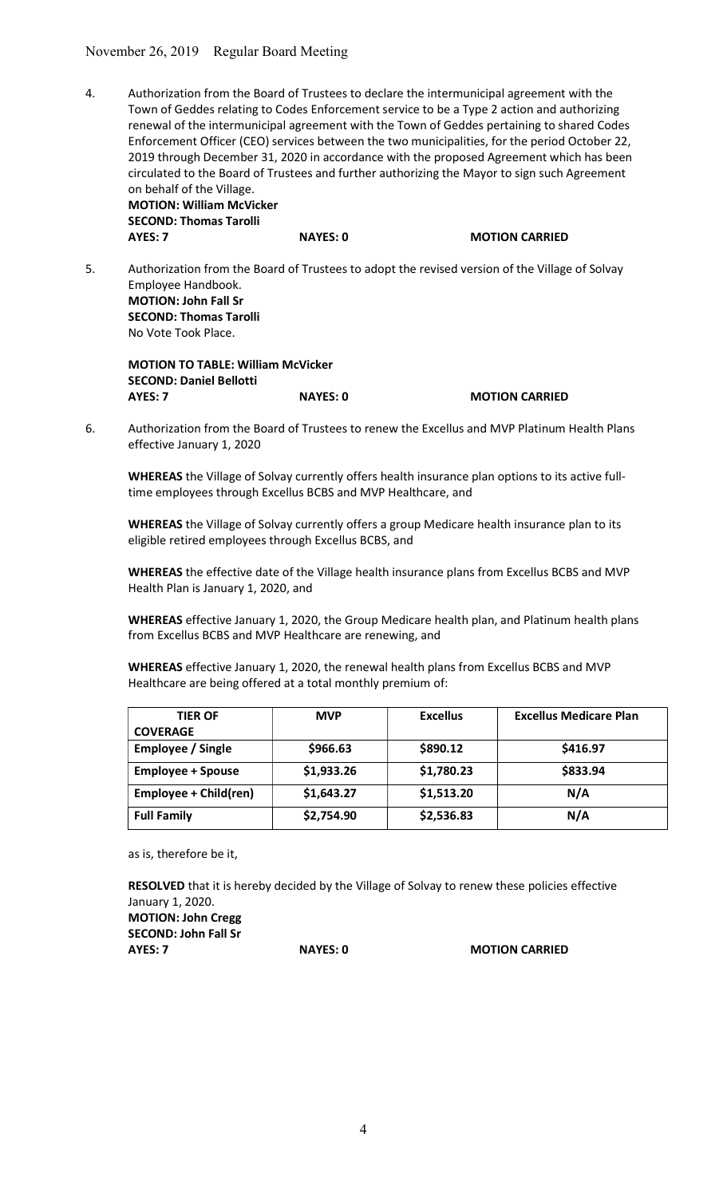4. Authorization from the Board of Trustees to declare the intermunicipal agreement with the Town of Geddes relating to Codes Enforcement service to be a Type 2 action and authorizing renewal of the intermunicipal agreement with the Town of Geddes pertaining to shared Codes Enforcement Officer (CEO) services between the two municipalities, for the period October 22, 2019 through December 31, 2020 in accordance with the proposed Agreement which has been circulated to the Board of Trustees and further authorizing the Mayor to sign such Agreement on behalf of the Village.

MOTION: William McVicker SECOND: Thomas Tarolli AYES: 7 NAYES: 0 MOTION CARRIED

5. Authorization from the Board of Trustees to adopt the revised version of the Village of Solvay Employee Handbook. MOTION: John Fall Sr SECOND: Thomas Tarolli No Vote Took Place.

MOTION TO TABLE: William McVicker SECOND: Daniel Bellotti AYES: 7 NAYES: 0 MOTION CARRIED

6. Authorization from the Board of Trustees to renew the Excellus and MVP Platinum Health Plans effective January 1, 2020

WHEREAS the Village of Solvay currently offers health insurance plan options to its active fulltime employees through Excellus BCBS and MVP Healthcare, and

WHEREAS the Village of Solvay currently offers a group Medicare health insurance plan to its eligible retired employees through Excellus BCBS, and

WHEREAS the effective date of the Village health insurance plans from Excellus BCBS and MVP Health Plan is January 1, 2020, and

 WHEREAS effective January 1, 2020, the Group Medicare health plan, and Platinum health plans from Excellus BCBS and MVP Healthcare are renewing, and

WHEREAS effective January 1, 2020, the renewal health plans from Excellus BCBS and MVP Healthcare are being offered at a total monthly premium of:

| <b>TIER OF</b>           | <b>MVP</b> | <b>Excellus</b> | <b>Excellus Medicare Plan</b> |
|--------------------------|------------|-----------------|-------------------------------|
| <b>COVERAGE</b>          |            |                 |                               |
| Employee / Single        | \$966.63   | \$890.12        | \$416.97                      |
| <b>Employee + Spouse</b> | \$1,933.26 | \$1,780.23      | \$833.94                      |
| Employee + Child(ren)    | \$1,643.27 | \$1,513.20      | N/A                           |
| <b>Full Family</b>       | \$2,754.90 | \$2,536.83      | N/A                           |

as is, therefore be it,

RESOLVED that it is hereby decided by the Village of Solvay to renew these policies effective January 1, 2020. MOTION: John Cregg SECOND: John Fall Sr

AYES: 7 NAYES: 0 MOTION CARRIED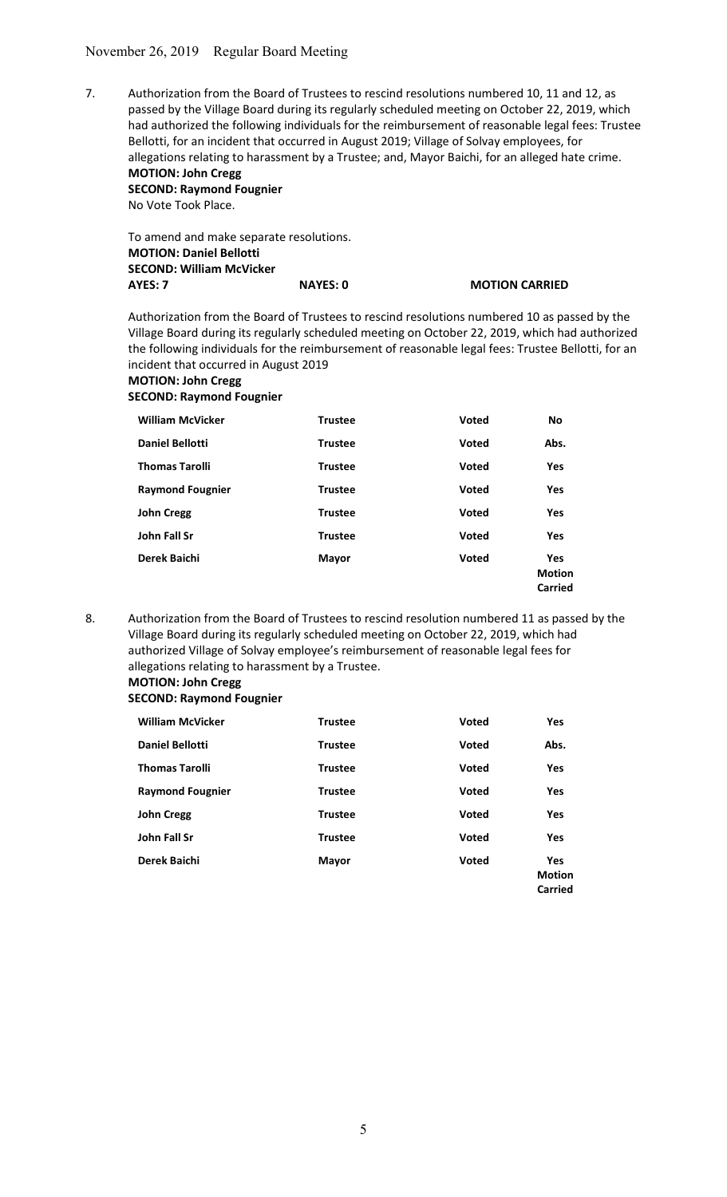7. Authorization from the Board of Trustees to rescind resolutions numbered 10, 11 and 12, as passed by the Village Board during its regularly scheduled meeting on October 22, 2019, which had authorized the following individuals for the reimbursement of reasonable legal fees: Trustee Bellotti, for an incident that occurred in August 2019; Village of Solvay employees, for allegations relating to harassment by a Trustee; and, Mayor Baichi, for an alleged hate crime. MOTION: John Cregg

 SECOND: Raymond Fougnier No Vote Took Place.

| To amend and make separate resolutions. |                 |                       |
|-----------------------------------------|-----------------|-----------------------|
| <b>MOTION: Daniel Bellotti</b>          |                 |                       |
| <b>SECOND: William McVicker</b>         |                 |                       |
| AYES: 7                                 | <b>NAYES: 0</b> | <b>MOTION CARRIED</b> |
|                                         |                 |                       |

Authorization from the Board of Trustees to rescind resolutions numbered 10 as passed by the Village Board during its regularly scheduled meeting on October 22, 2019, which had authorized the following individuals for the reimbursement of reasonable legal fees: Trustee Bellotti, for an incident that occurred in August 2019

## MOTION: John Cregg SECOND: Raymond Fougnier

| <b>William McVicker</b> | <b>Trustee</b> | Voted        | <b>No</b>                              |
|-------------------------|----------------|--------------|----------------------------------------|
| <b>Daniel Bellotti</b>  | <b>Trustee</b> | <b>Voted</b> | Abs.                                   |
| <b>Thomas Tarolli</b>   | <b>Trustee</b> | Voted        | <b>Yes</b>                             |
| <b>Raymond Fougnier</b> | <b>Trustee</b> | <b>Voted</b> | Yes                                    |
| <b>John Cregg</b>       | <b>Trustee</b> | Voted        | Yes                                    |
| John Fall Sr            | <b>Trustee</b> | Voted        | <b>Yes</b>                             |
| Derek Baichi            | <b>Mayor</b>   | Voted        | <b>Yes</b><br><b>Motion</b><br>Carried |

8. Authorization from the Board of Trustees to rescind resolution numbered 11 as passed by the Village Board during its regularly scheduled meeting on October 22, 2019, which had authorized Village of Solvay employee's reimbursement of reasonable legal fees for allegations relating to harassment by a Trustee.

## MOTION: John Cregg

## SECOND: Raymond Fougnier

| <b>William McVicker</b> | <b>Trustee</b> | <b>Voted</b> | Yes                                    |
|-------------------------|----------------|--------------|----------------------------------------|
| <b>Daniel Bellotti</b>  | <b>Trustee</b> | <b>Voted</b> | Abs.                                   |
| <b>Thomas Tarolli</b>   | <b>Trustee</b> | <b>Voted</b> | <b>Yes</b>                             |
| <b>Raymond Fougnier</b> | <b>Trustee</b> | <b>Voted</b> | <b>Yes</b>                             |
| <b>John Cregg</b>       | <b>Trustee</b> | <b>Voted</b> | <b>Yes</b>                             |
| John Fall Sr            | <b>Trustee</b> | <b>Voted</b> | <b>Yes</b>                             |
| Derek Baichi            | <b>Mayor</b>   | <b>Voted</b> | <b>Yes</b><br><b>Motion</b><br>Carried |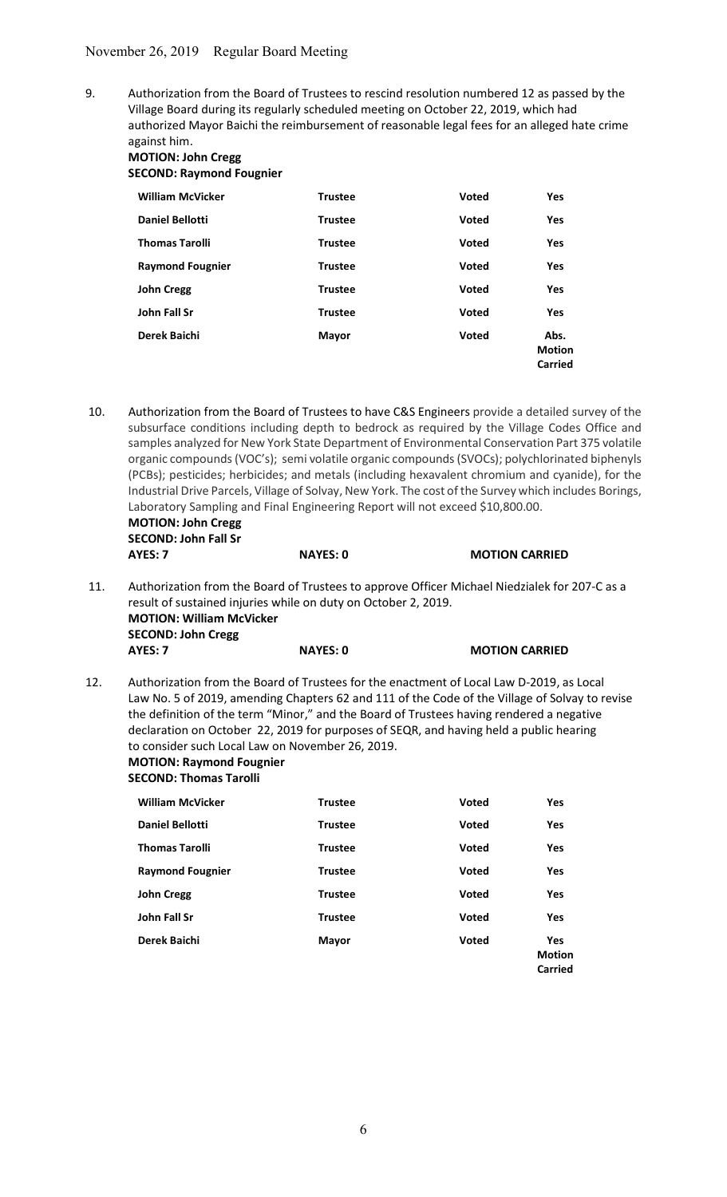9. Authorization from the Board of Trustees to rescind resolution numbered 12 as passed by the Village Board during its regularly scheduled meeting on October 22, 2019, which had authorized Mayor Baichi the reimbursement of reasonable legal fees for an alleged hate crime against him.

## MOTION: John Cregg SECOND: Raymond Fougnier

| <b>William McVicker</b> | <b>Trustee</b> | <b>Voted</b> | Yes                                     |
|-------------------------|----------------|--------------|-----------------------------------------|
| <b>Daniel Bellotti</b>  | <b>Trustee</b> | <b>Voted</b> | <b>Yes</b>                              |
| <b>Thomas Tarolli</b>   | <b>Trustee</b> | Voted        | Yes                                     |
| <b>Raymond Fougnier</b> | <b>Trustee</b> | <b>Voted</b> | <b>Yes</b>                              |
| <b>John Cregg</b>       | <b>Trustee</b> | <b>Voted</b> | Yes                                     |
| John Fall Sr            | <b>Trustee</b> | Voted        | <b>Yes</b>                              |
| Derek Baichi            | Mayor          | Voted        | Abs.<br><b>Motion</b><br><b>Carried</b> |

 10. Authorization from the Board of Trustees to have C&S Engineers provide a detailed survey of the subsurface conditions including depth to bedrock as required by the Village Codes Office and samples analyzed for New York State Department of Environmental Conservation Part 375 volatile organic compounds (VOC's); semi volatile organic compounds (SVOCs); polychlorinated biphenyls (PCBs); pesticides; herbicides; and metals (including hexavalent chromium and cyanide), for the Industrial Drive Parcels, Village of Solvay, New York. The cost of the Survey which includes Borings, Laboratory Sampling and Final Engineering Report will not exceed \$10,800.00. MOTION: John Cregg SECOND: John Fall Sr AYES: 7 NAYES: 0 MOTION CARRIED

 11. Authorization from the Board of Trustees to approve Officer Michael Niedzialek for 207-C as a result of sustained injuries while on duty on October 2, 2019. MOTION: William McVicker SECOND: John Cregg AYES: 7 NAYES: 0 MOTION CARRIED

12. Authorization from the Board of Trustees for the enactment of Local Law D-2019, as Local Law No. 5 of 2019, amending Chapters 62 and 111 of the Code of the Village of Solvay to revise the definition of the term "Minor," and the Board of Trustees having rendered a negative declaration on October 22, 2019 for purposes of SEQR, and having held a public hearing to consider such Local Law on November 26, 2019. MOTION: Raymond Fougnier

SECOND: Thomas Tarolli

| <b>William McVicker</b> | <b>Trustee</b> | <b>Voted</b> | <b>Yes</b>                                    |
|-------------------------|----------------|--------------|-----------------------------------------------|
| <b>Daniel Bellotti</b>  | <b>Trustee</b> | <b>Voted</b> | Yes                                           |
| <b>Thomas Tarolli</b>   | <b>Trustee</b> | <b>Voted</b> | <b>Yes</b>                                    |
| <b>Raymond Fougnier</b> | <b>Trustee</b> | <b>Voted</b> | Yes                                           |
| <b>John Cregg</b>       | <b>Trustee</b> | <b>Voted</b> | Yes                                           |
| John Fall Sr            | <b>Trustee</b> | <b>Voted</b> | <b>Yes</b>                                    |
| Derek Baichi            | <b>Mayor</b>   | <b>Voted</b> | <b>Yes</b><br><b>Motion</b><br><b>Carried</b> |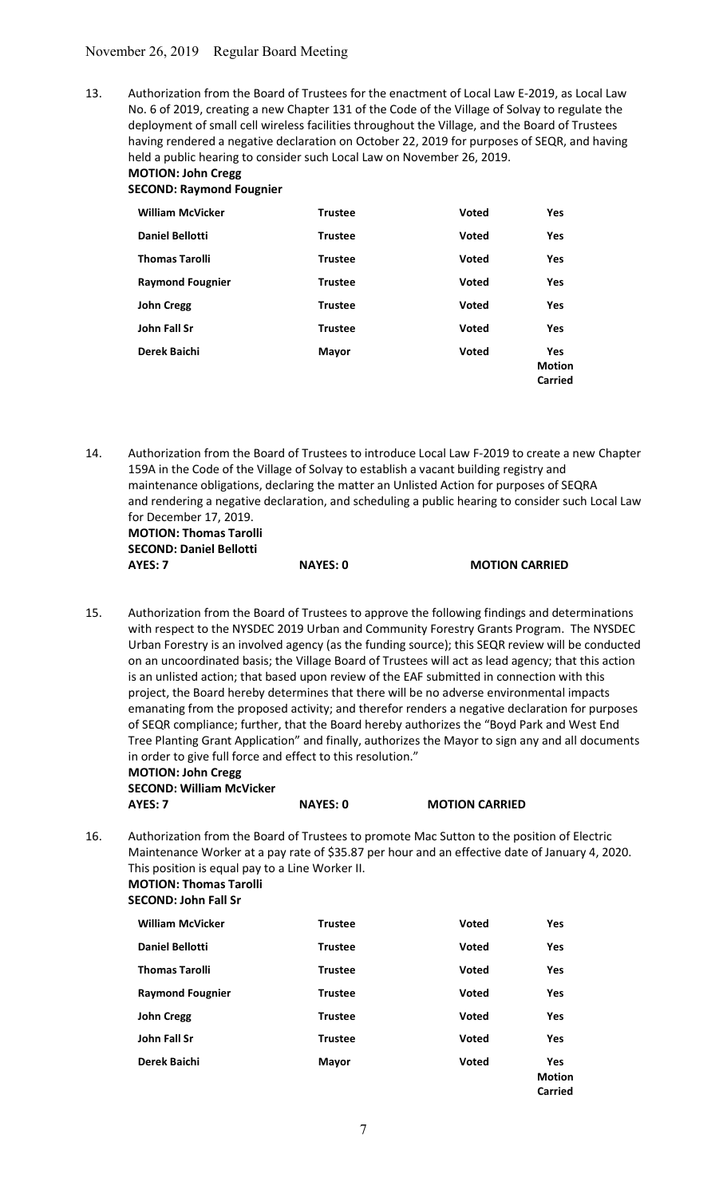13. Authorization from the Board of Trustees for the enactment of Local Law E-2019, as Local Law No. 6 of 2019, creating a new Chapter 131 of the Code of the Village of Solvay to regulate the deployment of small cell wireless facilities throughout the Village, and the Board of Trustees having rendered a negative declaration on October 22, 2019 for purposes of SEQR, and having held a public hearing to consider such Local Law on November 26, 2019. MOTION: John Cregg

# SECOND: Raymond Fougnier

| <b>William McVicker</b> | <b>Trustee</b> | <b>Voted</b> | <b>Yes</b>                             |
|-------------------------|----------------|--------------|----------------------------------------|
| <b>Daniel Bellotti</b>  | <b>Trustee</b> | Voted        | <b>Yes</b>                             |
| <b>Thomas Tarolli</b>   | <b>Trustee</b> | Voted        | <b>Yes</b>                             |
| <b>Raymond Fougnier</b> | <b>Trustee</b> | <b>Voted</b> | <b>Yes</b>                             |
| <b>John Cregg</b>       | <b>Trustee</b> | <b>Voted</b> | <b>Yes</b>                             |
| John Fall Sr            | <b>Trustee</b> | Voted        | Yes                                    |
| Derek Baichi            | <b>Mayor</b>   | <b>Voted</b> | <b>Yes</b><br><b>Motion</b><br>Carried |

14. Authorization from the Board of Trustees to introduce Local Law F-2019 to create a new Chapter 159A in the Code of the Village of Solvay to establish a vacant building registry and maintenance obligations, declaring the matter an Unlisted Action for purposes of SEQRA and rendering a negative declaration, and scheduling a public hearing to consider such Local Law for December 17, 2019. MOTION: Thomas Tarolli

 SECOND: Daniel Bellotti AYES: 7 NAYES: 0 MOTION CARRIED

15. Authorization from the Board of Trustees to approve the following findings and determinations with respect to the NYSDEC 2019 Urban and Community Forestry Grants Program. The NYSDEC Urban Forestry is an involved agency (as the funding source); this SEQR review will be conducted on an uncoordinated basis; the Village Board of Trustees will act as lead agency; that this action is an unlisted action; that based upon review of the EAF submitted in connection with this project, the Board hereby determines that there will be no adverse environmental impacts emanating from the proposed activity; and therefor renders a negative declaration for purposes of SEQR compliance; further, that the Board hereby authorizes the "Boyd Park and West End Tree Planting Grant Application" and finally, authorizes the Mayor to sign any and all documents in order to give full force and effect to this resolution."

### MOTION: John Cregg SECOND: William McVicker AYES: 7 NAYES: 0 MOTION CARRIED

16. Authorization from the Board of Trustees to promote Mac Sutton to the position of Electric Maintenance Worker at a pay rate of \$35.87 per hour and an effective date of January 4, 2020. This position is equal pay to a Line Worker II. MOTION: Thomas Tarolli

SECOND: John Fall Sr

| <b>William McVicker</b> | <b>Trustee</b> | <b>Voted</b> | Yes                                    |
|-------------------------|----------------|--------------|----------------------------------------|
| <b>Daniel Bellotti</b>  | <b>Trustee</b> | <b>Voted</b> | <b>Yes</b>                             |
| <b>Thomas Tarolli</b>   | <b>Trustee</b> | <b>Voted</b> | <b>Yes</b>                             |
| <b>Raymond Fougnier</b> | <b>Trustee</b> | <b>Voted</b> | <b>Yes</b>                             |
| <b>John Cregg</b>       | <b>Trustee</b> | <b>Voted</b> | <b>Yes</b>                             |
| John Fall Sr            | <b>Trustee</b> | <b>Voted</b> | Yes                                    |
| Derek Baichi            | <b>Mayor</b>   | <b>Voted</b> | <b>Yes</b><br><b>Motion</b><br>Carried |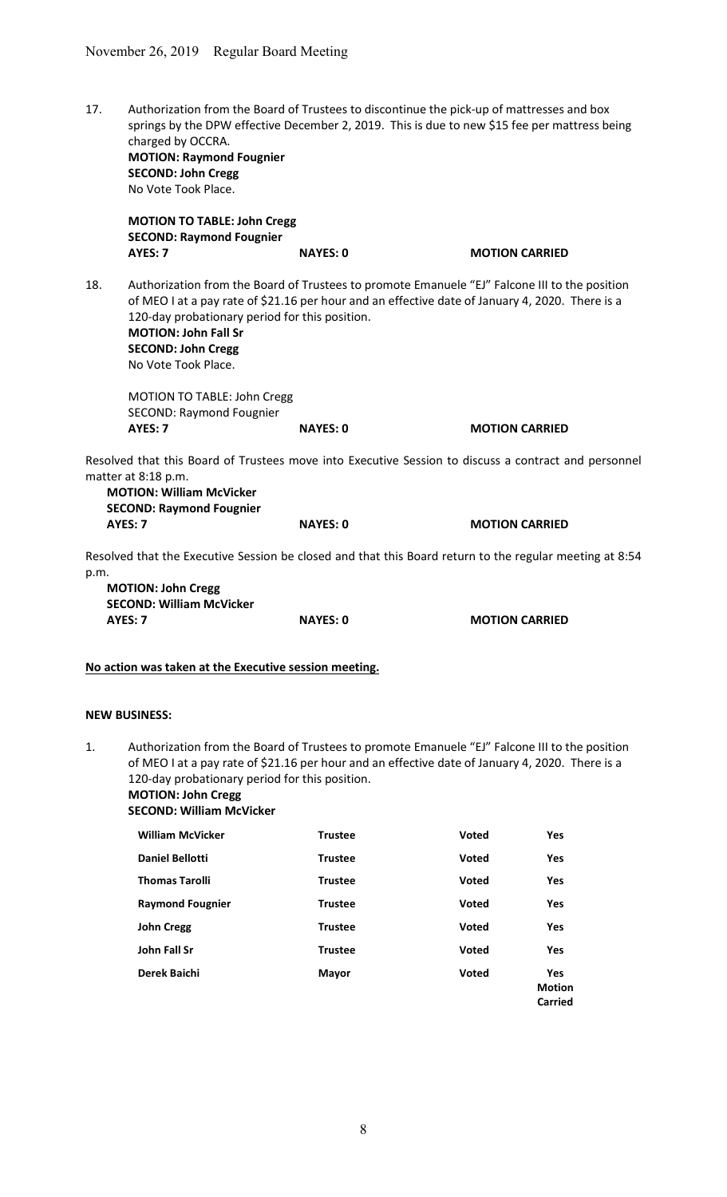17. Authorization from the Board of Trustees to discontinue the pick-up of mattresses and box springs by the DPW effective December 2, 2019. This is due to new \$15 fee per mattress being charged by OCCRA. MOTION: Raymond Fougnier

 SECOND: John Cregg No Vote Took Place.

MOTION TO TABLE: John Cregg SECOND: Raymond Fougnier AYES: 7 NAYES: 0 MOTION CARRIED

18. Authorization from the Board of Trustees to promote Emanuele "EJ" Falcone III to the position of MEO I at a pay rate of \$21.16 per hour and an effective date of January 4, 2020. There is a 120-day probationary period for this position. MOTION: John Fall Sr SECOND: John Cregg No Vote Took Place.

 MOTION TO TABLE: John Cregg SECOND: Raymond Fougnier AYES: 7 NAYES: 0 MOTION CARRIED

Resolved that this Board of Trustees move into Executive Session to discuss a contract and personnel matter at 8:18 p.m.

MOTION: William McVicker SECOND: Raymond Fougnier AYES: 7 NAYES: 0 MOTION CARRIED

Resolved that the Executive Session be closed and that this Board return to the regular meeting at 8:54 p.m.

MOTION: John Cregg SECOND: William McVicker AYES: 7 NAYES: 0 MOTION CARRIED

### No action was taken at the Executive session meeting.

### NEW BUSINESS:

1. Authorization from the Board of Trustees to promote Emanuele "EJ" Falcone III to the position of MEO I at a pay rate of \$21.16 per hour and an effective date of January 4, 2020. There is a 120-day probationary period for this position. MOTION: John Cregg

SECOND: William McVicker

| <b>William McVicker</b> | <b>Trustee</b> | <b>Voted</b> | <b>Yes</b>                             |
|-------------------------|----------------|--------------|----------------------------------------|
| <b>Daniel Bellotti</b>  | <b>Trustee</b> | <b>Voted</b> | <b>Yes</b>                             |
| <b>Thomas Tarolli</b>   | <b>Trustee</b> | Voted        | <b>Yes</b>                             |
| <b>Raymond Fougnier</b> | <b>Trustee</b> | <b>Voted</b> | <b>Yes</b>                             |
| <b>John Cregg</b>       | <b>Trustee</b> | <b>Voted</b> | <b>Yes</b>                             |
| John Fall Sr            | <b>Trustee</b> | Voted        | <b>Yes</b>                             |
| Derek Baichi            | Mayor          | Voted        | <b>Yes</b><br><b>Motion</b><br>Carried |